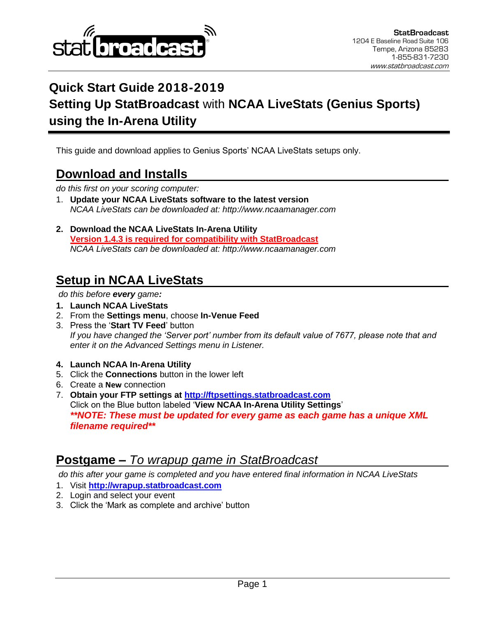

# **Quick Start Guide 2018-2019 Setting Up StatBroadcast** with **NCAA LiveStats (Genius Sports) using the In-Arena Utility**

This guide and download applies to Genius Sports' NCAA LiveStats setups only.

### **Download and Installs**

*do this first on your scoring computer:*

- 1. **Update your NCAA LiveStats software to the latest version** *NCAA LiveStats can be downloaded at: http://www.ncaamanager.com*
- **2. Download the NCAA LiveStats In-Arena Utility Version 1.4.3 is required for compatibility with StatBroadcast** *NCAA LiveStats can be downloaded at: http://www.ncaamanager.com*

### **Setup in NCAA LiveStats**

*do this before every game:*

- **1. Launch NCAA LiveStats**
- 2. From the **Settings menu**, choose **In-Venue Feed**
- 3. Press the '**Start TV Feed**' button *If you have changed the 'Server port' number from its default value of 7677, please note that and enter it on the Advanced Settings menu in Listener.*
- **4. Launch NCAA In-Arena Utility**
- 5. Click the **Connections** button in the lower left
- 6. Create a **New** connection
- 7. **Obtain your FTP settings at [http://ftpsettings.statbroadcast.com](http://ftpsettings.statbroadcast.com/)** Click on the Blue button labeled '**View NCAA In-Arena Utility Settings**' *\*\*NOTE: These must be updated for every game as each game has a unique XML filename required\*\**

### **Postgame –** *To wrapup game in StatBroadcast*

*do this after your game is completed and you have entered final information in NCAA LiveStats*

- 1. Visit **[http://wrapup.statbroadcast.com](http://wrapup.statbroadcast.com/)**
- 2. Login and select your event
- 3. Click the 'Mark as complete and archive' button